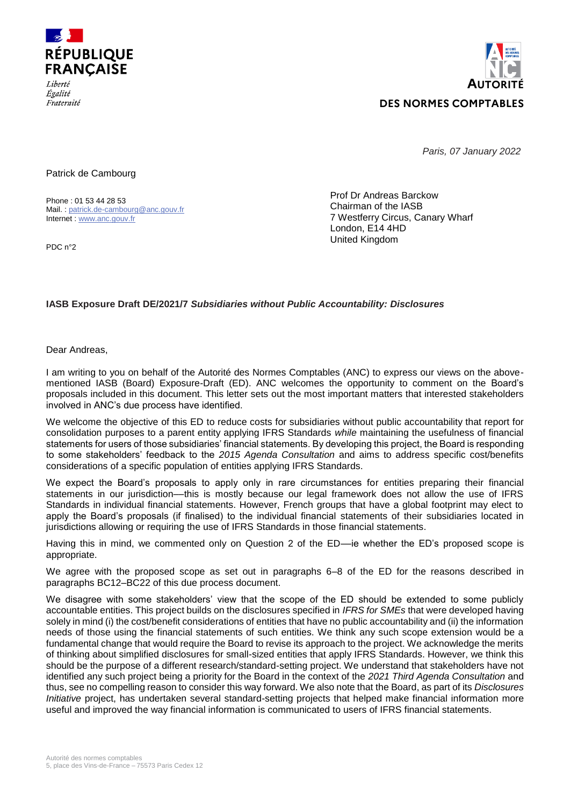



*Paris, 07 January 2022*

Patrick de Cambourg

Phone : 01 53 44 28 53 Mail. : [patrick.de-cambourg@anc.gouv.fr](mailto:patrick.de-cambourg@anc.gouv.fr) Internet : [www.anc.gouv.fr](http://www.anc.gouv.fr/)

PDC n°2

Fraternité

Prof Dr Andreas Barckow Chairman of the IASB 7 Westferry Circus, Canary Wharf London, E14 4HD United Kingdom

## **IASB Exposure Draft DE/2021/7** *Subsidiaries without Public Accountability: Disclosures*

Dear Andreas,

I am writing to you on behalf of the Autorité des Normes Comptables (ANC) to express our views on the abovementioned IASB (Board) Exposure-Draft (ED). ANC welcomes the opportunity to comment on the Board's proposals included in this document. This letter sets out the most important matters that interested stakeholders involved in ANC's due process have identified.

We welcome the objective of this ED to reduce costs for subsidiaries without public accountability that report for consolidation purposes to a parent entity applying IFRS Standards *while* maintaining the usefulness of financial statements for users of those subsidiaries' financial statements. By developing this project, the Board is responding to some stakeholders' feedback to the *2015 Agenda Consultation* and aims to address specific cost/benefits considerations of a specific population of entities applying IFRS Standards.

We expect the Board's proposals to apply only in rare circumstances for entities preparing their financial statements in our jurisdiction––this is mostly because our legal framework does not allow the use of IFRS Standards in individual financial statements. However, French groups that have a global footprint may elect to apply the Board's proposals (if finalised) to the individual financial statements of their subsidiaries located in jurisdictions allowing or requiring the use of IFRS Standards in those financial statements.

Having this in mind, we commented only on Question 2 of the ED––ie whether the ED's proposed scope is appropriate.

We agree with the proposed scope as set out in paragraphs 6–8 of the ED for the reasons described in paragraphs BC12–BC22 of this due process document.

We disagree with some stakeholders' view that the scope of the ED should be extended to some publicly accountable entities. This project builds on the disclosures specified in *IFRS for SMEs* that were developed having solely in mind (i) the cost/benefit considerations of entities that have no public accountability and (ii) the information needs of those using the financial statements of such entities. We think any such scope extension would be a fundamental change that would require the Board to revise its approach to the project. We acknowledge the merits of thinking about simplified disclosures for small-sized entities that apply IFRS Standards. However, we think this should be the purpose of a different research/standard-setting project. We understand that stakeholders have not identified any such project being a priority for the Board in the context of the *2021 Third Agenda Consultation* and thus, see no compelling reason to consider this way forward. We also note that the Board, as part of its *Disclosures Initiative* project, has undertaken several standard-setting projects that helped make financial information more useful and improved the way financial information is communicated to users of IFRS financial statements.